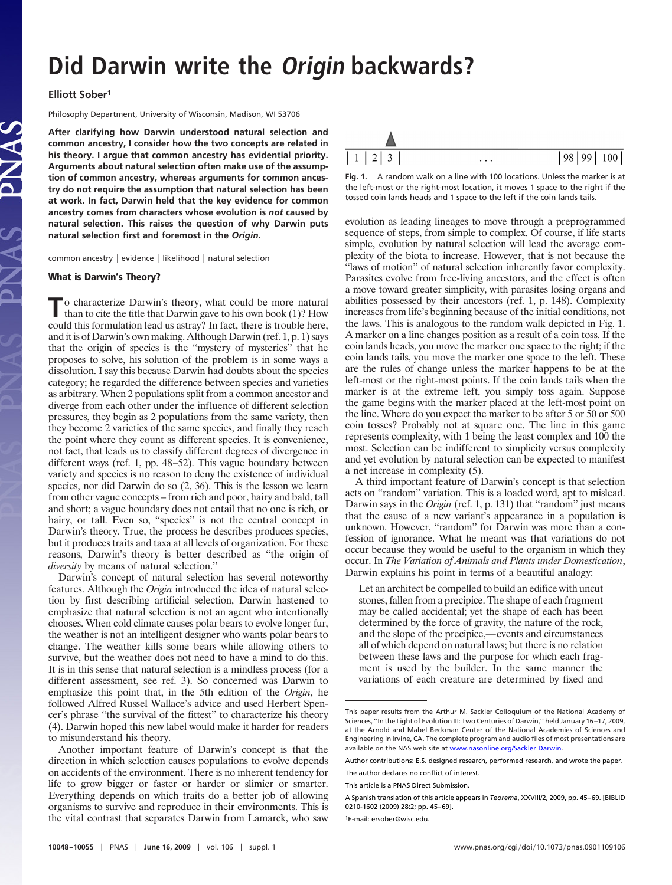# **Did Darwin write the Origin backwards?**

# **Elliott Sober1**

Philosophy Department, University of Wisconsin, Madison, WI 53706

**After clarifying how Darwin understood natural selection and common ancestry, I consider how the two concepts are related in his theory. I argue that common ancestry has evidential priority. Arguments about natural selection often make use of the assumption of common ancestry, whereas arguments for common ancestry do not require the assumption that natural selection has been at work. In fact, Darwin held that the key evidence for common ancestry comes from characters whose evolution is** *not* **caused by natural selection. This raises the question of why Darwin puts natural selection first and foremost in the** *Origin.*

common ancestry | evidence | likelihood | natural selection

# **What is Darwin's Theory?**

To characterize Darwin's theory, what could be more natural than to cite the title that  $\sum$ than to cite the title that Darwin gave to his own book (1)? How could this formulation lead us astray? In fact, there is trouble here, and it is of Darwin's own making. Although Darwin (ref. 1, p. 1) says that the origin of species is the ''mystery of mysteries'' that he proposes to solve, his solution of the problem is in some ways a dissolution. I say this because Darwin had doubts about the species category; he regarded the difference between species and varieties as arbitrary. When 2 populations split from a common ancestor and diverge from each other under the influence of different selection pressures, they begin as 2 populations from the same variety, then they become 2 varieties of the same species, and finally they reach the point where they count as different species. It is convenience, not fact, that leads us to classify different degrees of divergence in different ways (ref. 1, pp. 48–52). This vague boundary between variety and species is no reason to deny the existence of individual species, nor did Darwin do so (2, 36). This is the lesson we learn from other vague concepts – from rich and poor, hairy and bald, tall and short; a vague boundary does not entail that no one is rich, or hairy, or tall. Even so, "species" is not the central concept in Darwin's theory. True, the process he describes produces species, but it produces traits and taxa at all levels of organization. For these reasons, Darwin's theory is better described as ''the origin of *diversity* by means of natural selection.''

Darwin's concept of natural selection has several noteworthy features. Although the *Origin* introduced the idea of natural selection by first describing artificial selection, Darwin hastened to emphasize that natural selection is not an agent who intentionally chooses. When cold climate causes polar bears to evolve longer fur, the weather is not an intelligent designer who wants polar bears to change. The weather kills some bears while allowing others to survive, but the weather does not need to have a mind to do this. It is in this sense that natural selection is a mindless process (for a different assessment, see ref. 3). So concerned was Darwin to emphasize this point that, in the 5th edition of the *Origin*, he followed Alfred Russel Wallace's advice and used Herbert Spencer's phrase ''the survival of the fittest'' to characterize his theory (4). Darwin hoped this new label would make it harder for readers to misunderstand his theory.

Another important feature of Darwin's concept is that the direction in which selection causes populations to evolve depends on accidents of the environment. There is no inherent tendency for life to grow bigger or faster or harder or slimier or smarter. Everything depends on which traits do a better job of allowing organisms to survive and reproduce in their environments. This is the vital contrast that separates Darwin from Lamarck, who saw

| 123 | $\cdots$ | 98 99 100 |
|-----|----------|-----------|

**Fig. 1.** A random walk on a line with 100 locations. Unless the marker is at the left-most or the right-most location, it moves 1 space to the right if the tossed coin lands heads and 1 space to the left if the coin lands tails.

evolution as leading lineages to move through a preprogrammed sequence of steps, from simple to complex. Of course, if life starts simple, evolution by natural selection will lead the average complexity of the biota to increase. However, that is not because the "laws of motion" of natural selection inherently favor complexity. Parasites evolve from free-living ancestors, and the effect is often a move toward greater simplicity, with parasites losing organs and abilities possessed by their ancestors (ref. 1, p. 148). Complexity increases from life's beginning because of the initial conditions, not the laws. This is analogous to the random walk depicted in Fig. 1. A marker on a line changes position as a result of a coin toss. If the coin lands heads, you move the marker one space to the right; if the coin lands tails, you move the marker one space to the left. These are the rules of change unless the marker happens to be at the left-most or the right-most points. If the coin lands tails when the marker is at the extreme left, you simply toss again. Suppose the game begins with the marker placed at the left-most point on the line. Where do you expect the marker to be after 5 or 50 or 500 coin tosses? Probably not at square one. The line in this game represents complexity, with 1 being the least complex and 100 the most. Selection can be indifferent to simplicity versus complexity and yet evolution by natural selection can be expected to manifest a net increase in complexity (5).

A third important feature of Darwin's concept is that selection acts on ''random'' variation. This is a loaded word, apt to mislead. Darwin says in the *Origin* (ref. 1, p. 131) that "random" just means that the cause of a new variant's appearance in a population is unknown. However, "random" for Darwin was more than a confession of ignorance. What he meant was that variations do not occur because they would be useful to the organism in which they occur. In *The Variation of Animals and Plants under Domestication*, Darwin explains his point in terms of a beautiful analogy:

Let an architect be compelled to build an edifice with uncut stones, fallen from a precipice. The shape of each fragment may be called accidental; yet the shape of each has been determined by the force of gravity, the nature of the rock, and the slope of the precipice,—events and circumstances all of which depend on natural laws; but there is no relation between these laws and the purpose for which each fragment is used by the builder. In the same manner the variations of each creature are determined by fixed and

This paper results from the Arthur M. Sackler Colloquium of the National Academy of Sciences, ''In the Light of Evolution III: Two Centuries of Darwin,'' held January 16–17, 2009, at the Arnold and Mabel Beckman Center of the National Academies of Sciences and Engineering in Irvine, CA. The complete program and audio files of most presentations are available on the NAS web site at [www.nasonline.org/Sackler](http://www.nasonline.org/Sackler_Darwin)\_Darwin.

Author contributions: E.S. designed research, performed research, and wrote the paper.

The author declares no conflict of interest.

This article is a PNAS Direct Submission.

A Spanish translation of this article appears in *Teorema*, XXVIII/2, 2009, pp. 45–69. [BIBLID 0210-1602 (2009) 28:2; pp. 45–69].

<sup>1</sup>E-mail: ersober@wisc.edu.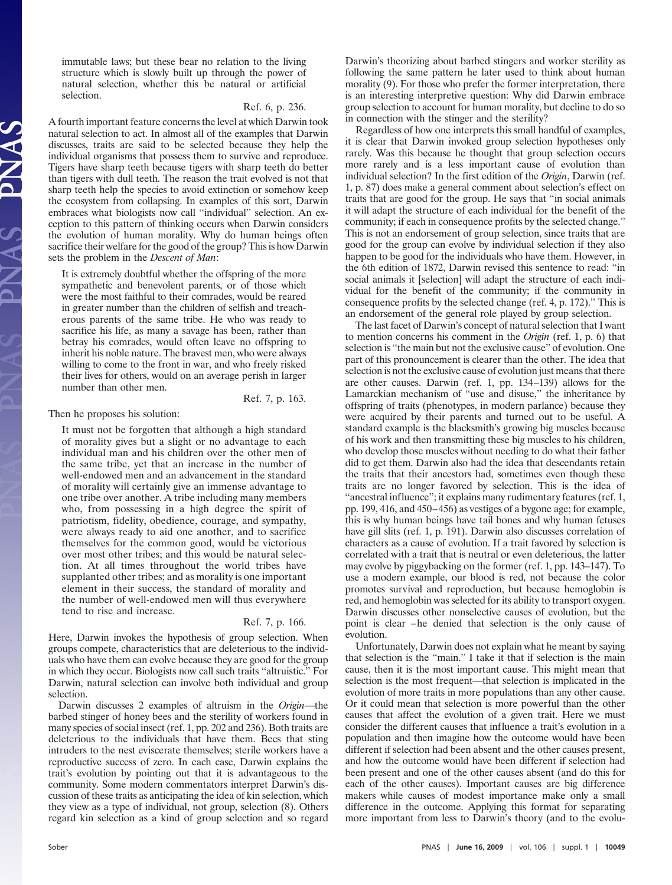immutable laws; but these bear no relation to the living structure which is slowly built up through the power of natural selection, whether this be natural or artificial selection.

## Ref. 6, p. 236.

A fourth important feature concerns the level at which Darwin took natural selection to act. In almost all of the examples that Darwin discusses, traits are said to be selected because they help the individual organisms that possess them to survive and reproduce. Tigers have sharp teeth because tigers with sharp teeth do better than tigers with dull teeth. The reason the trait evolved is not that sharp teeth help the species to avoid extinction or somehow keep the ecosystem from collapsing. In examples of this sort, Darwin embraces what biologists now call ''individual'' selection. An exception to this pattern of thinking occurs when Darwin considers the evolution of human morality. Why do human beings often sacrifice their welfare for the good of the group? This is how Darwin sets the problem in the *Descent of Man*:

It is extremely doubtful whether the offspring of the more sympathetic and benevolent parents, or of those which were the most faithful to their comrades, would be reared in greater number than the children of selfish and treacherous parents of the same tribe. He who was ready to sacrifice his life, as many a savage has been, rather than betray his comrades, would often leave no offspring to inherit his noble nature. The bravest men, who were always willing to come to the front in war, and who freely risked their lives for others, would on an average perish in larger number than other men.

## Ref. 7, p. 163.

Then he proposes his solution:

It must not be forgotten that although a high standard of morality gives but a slight or no advantage to each individual man and his children over the other men of the same tribe, yet that an increase in the number of well-endowed men and an advancement in the standard of morality will certainly give an immense advantage to one tribe over another. A tribe including many members who, from possessing in a high degree the spirit of patriotism, fidelity, obedience, courage, and sympathy, were always ready to aid one another, and to sacrifice themselves for the common good, would be victorious over most other tribes; and this would be natural selection. At all times throughout the world tribes have supplanted other tribes; and as morality is one important element in their success, the standard of morality and the number of well-endowed men will thus everywhere tend to rise and increase.

## Ref. 7, p. 166.

Here, Darwin invokes the hypothesis of group selection. When groups compete, characteristics that are deleterious to the individuals who have them can evolve because they are good for the group in which they occur. Biologists now call such traits ''altruistic.'' For Darwin, natural selection can involve both individual and group selection.

Darwin discusses 2 examples of altruism in the *Origin*—the barbed stinger of honey bees and the sterility of workers found in many species of social insect (ref. 1, pp. 202 and 236). Both traits are deleterious to the individuals that have them. Bees that sting intruders to the nest eviscerate themselves; sterile workers have a reproductive success of zero. In each case, Darwin explains the trait's evolution by pointing out that it is advantageous to the community. Some modern commentators interpret Darwin's discussion of these traits as anticipating the idea of kin selection, which they view as a type of individual, not group, selection (8). Others regard kin selection as a kind of group selection and so regard

Darwin's theorizing about barbed stingers and worker sterility as following the same pattern he later used to think about human morality (9). For those who prefer the former interpretation, there is an interesting interpretive question: Why did Darwin embrace group selection to account for human morality, but decline to do so in connection with the stinger and the sterility?

Regardless of how one interprets this small handful of examples, it is clear that Darwin invoked group selection hypotheses only rarely. Was this because he thought that group selection occurs more rarely and is a less important cause of evolution than individual selection? In the first edition of the *Origin*, Darwin (ref. 1, p. 87) does make a general comment about selection's effect on traits that are good for the group. He says that ''in social animals it will adapt the structure of each individual for the benefit of the community; if each in consequence profits by the selected change.'' This is not an endorsement of group selection, since traits that are good for the group can evolve by individual selection if they also happen to be good for the individuals who have them. However, in the 6th edition of 1872, Darwin revised this sentence to read: ''in social animals it [selection] will adapt the structure of each individual for the benefit of the community; if the community in consequence profits by the selected change (ref. 4, p. 172).'' This is an endorsement of the general role played by group selection.

The last facet of Darwin's concept of natural selection that I want to mention concerns his comment in the *Origin* (ref. 1, p. 6) that selection is ''the main but not the exclusive cause'' of evolution. One part of this pronouncement is clearer than the other. The idea that selection is not the exclusive cause of evolution just means that there are other causes. Darwin (ref. 1, pp. 134–139) allows for the Lamarckian mechanism of ''use and disuse,'' the inheritance by offspring of traits (phenotypes, in modern parlance) because they were acquired by their parents and turned out to be useful. A standard example is the blacksmith's growing big muscles because of his work and then transmitting these big muscles to his children, who develop those muscles without needing to do what their father did to get them. Darwin also had the idea that descendants retain the traits that their ancestors had, sometimes even though these traits are no longer favored by selection. This is the idea of "ancestral influence"; it explains many rudimentary features (ref. 1, pp. 199, 416, and 450–456) as vestiges of a bygone age; for example, this is why human beings have tail bones and why human fetuses have gill slits (ref. 1, p. 191). Darwin also discusses correlation of characters as a cause of evolution. If a trait favored by selection is correlated with a trait that is neutral or even deleterious, the latter may evolve by piggybacking on the former (ref. 1, pp. 143–147). To use a modern example, our blood is red, not because the color promotes survival and reproduction, but because hemoglobin is red, and hemoglobin was selected for its ability to transport oxygen. Darwin discusses other nonselective causes of evolution, but the point is clear –he denied that selection is the only cause of evolution.

Unfortunately, Darwin does not explain what he meant by saying that selection is the ''main.'' I take it that if selection is the main cause, then it is the most important cause. This might mean that selection is the most frequent—that selection is implicated in the evolution of more traits in more populations than any other cause. Or it could mean that selection is more powerful than the other causes that affect the evolution of a given trait. Here we must consider the different causes that influence a trait's evolution in a population and then imagine how the outcome would have been different if selection had been absent and the other causes present, and how the outcome would have been different if selection had been present and one of the other causes absent (and do this for each of the other causes). Important causes are big difference makers while causes of modest importance make only a small difference in the outcome. Applying this format for separating more important from less to Darwin's theory (and to the evolu-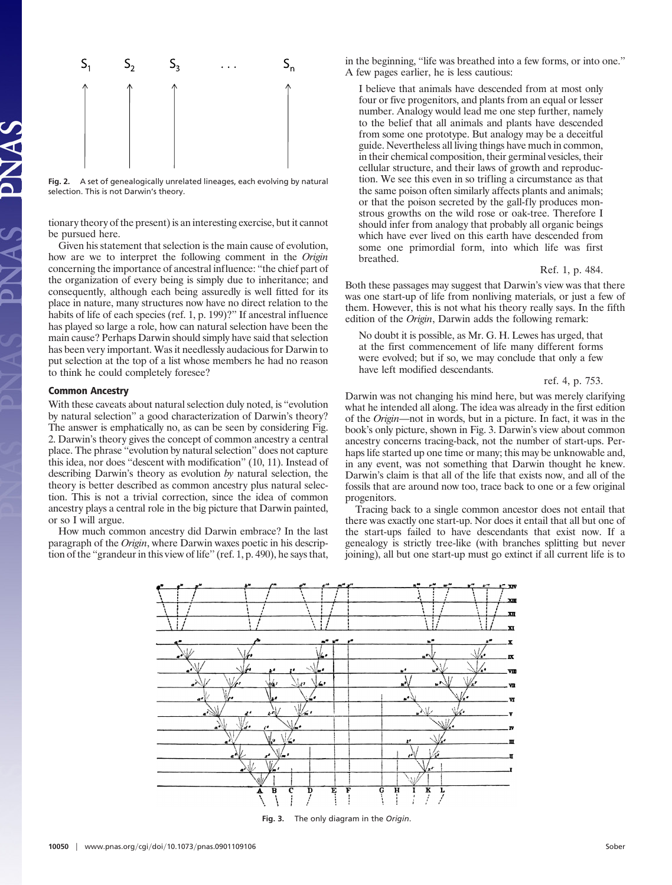

**Fig. 2.** A set of genealogically unrelated lineages, each evolving by natural selection. This is not Darwin's theory.

tionary theory of the present) is an interesting exercise, but it cannot be pursued here.

Given his statement that selection is the main cause of evolution, how are we to interpret the following comment in the *Origin* concerning the importance of ancestral influence: ''the chief part of the organization of every being is simply due to inheritance; and consequently, although each being assuredly is well fitted for its place in nature, many structures now have no direct relation to the habits of life of each species (ref. 1, p. 199)?" If ancestral influence has played so large a role, how can natural selection have been the main cause? Perhaps Darwin should simply have said that selection has been very important. Was it needlessly audacious for Darwin to put selection at the top of a list whose members he had no reason to think he could completely foresee?

## **Common Ancestry**

With these caveats about natural selection duly noted, is ''evolution by natural selection'' a good characterization of Darwin's theory? The answer is emphatically no, as can be seen by considering Fig. 2. Darwin's theory gives the concept of common ancestry a central place. The phrase ''evolution by natural selection'' does not capture this idea, nor does ''descent with modification'' (10, 11). Instead of describing Darwin's theory as evolution *by* natural selection, the theory is better described as common ancestry plus natural selection. This is not a trivial correction, since the idea of common ancestry plays a central role in the big picture that Darwin painted, or so I will argue.

How much common ancestry did Darwin embrace? In the last paragraph of the *Origin*, where Darwin waxes poetic in his description of the ''grandeur in this view of life'' (ref. 1, p. 490), he says that, in the beginning, ''life was breathed into a few forms, or into one.'' A few pages earlier, he is less cautious:

I believe that animals have descended from at most only four or five progenitors, and plants from an equal or lesser number. Analogy would lead me one step further, namely to the belief that all animals and plants have descended from some one prototype. But analogy may be a deceitful guide. Nevertheless all living things have much in common, in their chemical composition, their germinal vesicles, their cellular structure, and their laws of growth and reproduction. We see this even in so trifling a circumstance as that the same poison often similarly affects plants and animals; or that the poison secreted by the gall-fly produces monstrous growths on the wild rose or oak-tree. Therefore I should infer from analogy that probably all organic beings which have ever lived on this earth have descended from some one primordial form, into which life was first breathed.

#### Ref. 1, p. 484.

Both these passages may suggest that Darwin's view was that there was one start-up of life from nonliving materials, or just a few of them. However, this is not what his theory really says. In the fifth edition of the *Origin*, Darwin adds the following remark:

No doubt it is possible, as Mr. G. H. Lewes has urged, that at the first commencement of life many different forms were evolved; but if so, we may conclude that only a few have left modified descendants.

## ref. 4, p. 753.

Darwin was not changing his mind here, but was merely clarifying what he intended all along. The idea was already in the first edition of the *Origin*—not in words, but in a picture. In fact, it was in the book's only picture, shown in Fig. 3. Darwin's view about common ancestry concerns tracing-back, not the number of start-ups. Perhaps life started up one time or many; this may be unknowable and, in any event, was not something that Darwin thought he knew. Darwin's claim is that all of the life that exists now, and all of the fossils that are around now too, trace back to one or a few original progenitors.

Tracing back to a single common ancestor does not entail that there was exactly one start-up. Nor does it entail that all but one of the start-ups failed to have descendants that exist now. If a genealogy is strictly tree-like (with branches splitting but never joining), all but one start-up must go extinct if all current life is to



**Fig. 3.** The only diagram in the *Origin*.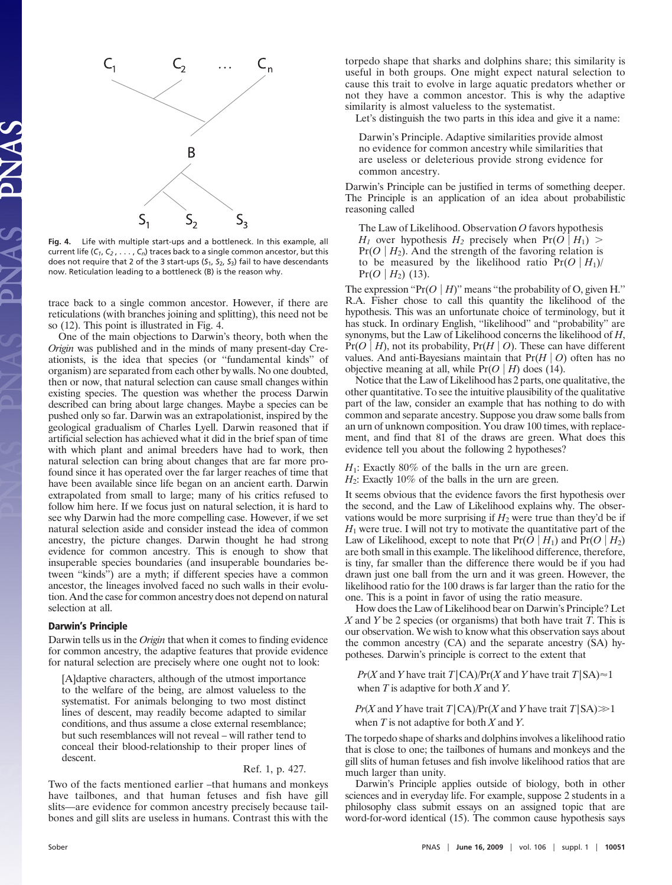

**Fig. 4.** Life with multiple start-ups and a bottleneck. In this example, all current life  $(C_1, C_2, \ldots, C_n)$  traces back to a single common ancestor, but this does not require that 2 of the 3 start-ups (*S*1, *S*2, *S*3) fail to have descendants now. Reticulation leading to a bottleneck (B) is the reason why.

trace back to a single common ancestor. However, if there are reticulations (with branches joining and splitting), this need not be so (12). This point is illustrated in Fig. 4.

One of the main objections to Darwin's theory, both when the *Origin* was published and in the minds of many present-day Creationists, is the idea that species (or ''fundamental kinds'' of organism) are separated from each other by walls. No one doubted, then or now, that natural selection can cause small changes within existing species. The question was whether the process Darwin described can bring about large changes. Maybe a species can be pushed only so far. Darwin was an extrapolationist, inspired by the geological gradualism of Charles Lyell. Darwin reasoned that if artificial selection has achieved what it did in the brief span of time with which plant and animal breeders have had to work, then natural selection can bring about changes that are far more profound since it has operated over the far larger reaches of time that have been available since life began on an ancient earth. Darwin extrapolated from small to large; many of his critics refused to follow him here. If we focus just on natural selection, it is hard to see why Darwin had the more compelling case. However, if we set natural selection aside and consider instead the idea of common ancestry, the picture changes. Darwin thought he had strong evidence for common ancestry. This is enough to show that insuperable species boundaries (and insuperable boundaries between ''kinds'') are a myth; if different species have a common ancestor, the lineages involved faced no such walls in their evolution. And the case for common ancestry does not depend on natural selection at all.

## **Darwin's Principle**

Darwin tells us in the *Origin* that when it comes to finding evidence for common ancestry, the adaptive features that provide evidence for natural selection are precisely where one ought not to look:

[A]daptive characters, although of the utmost importance to the welfare of the being, are almost valueless to the systematist. For animals belonging to two most distinct lines of descent, may readily become adapted to similar conditions, and thus assume a close external resemblance; but such resemblances will not reveal – will rather tend to conceal their blood-relationship to their proper lines of descent.

## Ref. 1, p. 427.

Two of the facts mentioned earlier –that humans and monkeys have tailbones, and that human fetuses and fish have gill slits—are evidence for common ancestry precisely because tailbones and gill slits are useless in humans. Contrast this with the torpedo shape that sharks and dolphins share; this similarity is useful in both groups. One might expect natural selection to cause this trait to evolve in large aquatic predators whether or not they have a common ancestor. This is why the adaptive similarity is almost valueless to the systematist.

Let's distinguish the two parts in this idea and give it a name:

Darwin's Principle. Adaptive similarities provide almost no evidence for common ancestry while similarities that are useless or deleterious provide strong evidence for common ancestry.

Darwin's Principle can be justified in terms of something deeper. The Principle is an application of an idea about probabilistic reasoning called

The Law of Likelihood. Observation *O* favors hypothesis *H<sub>1</sub>* over hypothesis *H<sub>2</sub>* precisely when  $Pr(O | H_1)$  >  $Pr(O \mid H_2)$ . And the strength of the favoring relation is to be measured by the likelihood ratio  $Pr(O \mid H_1)$  $Pr(O \mid H_2)$  (13).

The expression " $Pr(O | H)$ " means "the probability of O, given H." R.A. Fisher chose to call this quantity the likelihood of the hypothesis. This was an unfortunate choice of terminology, but it has stuck. In ordinary English, "likelihood" and "probability" are synonyms, but the Law of Likelihood concerns the likelihood of *H*,  $Pr(O | H)$ , not its probability,  $Pr(H | O)$ . These can have different values. And anti-Bayesians maintain that  $Pr(H | O)$  often has no objective meaning at all, while  $Pr(O | H)$  does (14).

Notice that the Law of Likelihood has 2 parts, one qualitative, the other quantitative. To see the intuitive plausibility of the qualitative part of the law, consider an example that has nothing to do with common and separate ancestry. Suppose you draw some balls from an urn of unknown composition. You draw 100 times, with replacement, and find that 81 of the draws are green. What does this evidence tell you about the following 2 hypotheses?

*H*<sub>1</sub>: Exactly 80% of the balls in the urn are green. *H*<sub>2</sub>: Exactly 10% of the balls in the urn are green.

It seems obvious that the evidence favors the first hypothesis over the second, and the Law of Likelihood explains why. The observations would be more surprising if  $H_2$  were true than they'd be if  $H_1$  were true. I will not try to motivate the quantitative part of the Law of Likelihood, except to note that  $Pr(O \mid H_1)$  and  $Pr(O \mid H_2)$ are both small in this example. The likelihood difference, therefore, is tiny, far smaller than the difference there would be if you had drawn just one ball from the urn and it was green. However, the likelihood ratio for the 100 draws is far larger than the ratio for the one. This is a point in favor of using the ratio measure.

How does the Law of Likelihood bear on Darwin's Principle? Let *X* and *Y* be 2 species (or organisms) that both have trait *T*. This is our observation. We wish to know what this observation says about the common ancestry (CA) and the separate ancestry (SA) hypotheses. Darwin's principle is correct to the extent that

*Pr*(*X* and *Y* have trait *T* | CA)/Pr(*X* and *Y* have trait *T* | SA) $\approx$ 1 when *T* is adaptive for both *X* and *Y*.

*Pr*(*X* and *Y* have trait *T* | CA)/Pr(*X* and *Y* have trait *T* | SA)  $\gg$  1 when *T* is not adaptive for both *X* and *Y*.

The torpedo shape of sharks and dolphins involves a likelihood ratio that is close to one; the tailbones of humans and monkeys and the gill slits of human fetuses and fish involve likelihood ratios that are much larger than unity.

Darwin's Principle applies outside of biology, both in other sciences and in everyday life. For example, suppose 2 students in a philosophy class submit essays on an assigned topic that are word-for-word identical (15). The common cause hypothesis says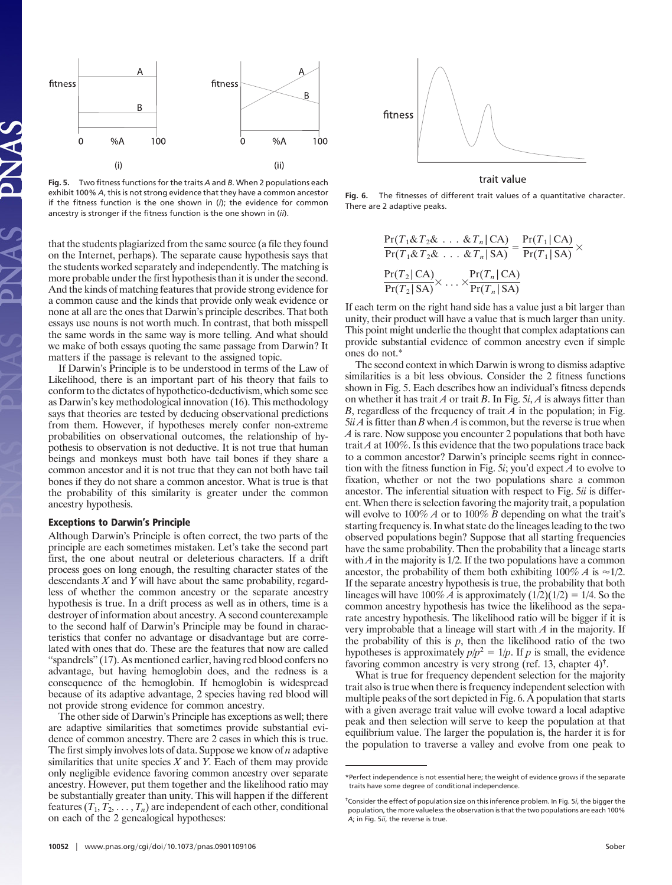

**Fig. 5.** Two fitness functions for the traits *A* and *B*. When 2 populations each exhibit 100% *A*, this is not strong evidence that they have a common ancestor if the fitness function is the one shown in (*i*); the evidence for common ancestry is stronger if the fitness function is the one shown in (*ii*).

that the students plagiarized from the same source (a file they found on the Internet, perhaps). The separate cause hypothesis says that the students worked separately and independently. The matching is more probable under the first hypothesis than it is under the second. And the kinds of matching features that provide strong evidence for a common cause and the kinds that provide only weak evidence or none at all are the ones that Darwin's principle describes. That both essays use nouns is not worth much. In contrast, that both misspell the same words in the same way is more telling. And what should we make of both essays quoting the same passage from Darwin? It matters if the passage is relevant to the assigned topic.

If Darwin's Principle is to be understood in terms of the Law of Likelihood, there is an important part of his theory that fails to conform to the dictates of hypothetico-deductivism, which some see as Darwin's key methodological innovation (16). This methodology says that theories are tested by deducing observational predictions from them. However, if hypotheses merely confer non-extreme probabilities on observational outcomes, the relationship of hypothesis to observation is not deductive. It is not true that human beings and monkeys must both have tail bones if they share a common ancestor and it is not true that they can not both have tail bones if they do not share a common ancestor. What is true is that the probability of this similarity is greater under the common ancestry hypothesis.

## **Exceptions to Darwin's Principle**

Although Darwin's Principle is often correct, the two parts of the principle are each sometimes mistaken. Let's take the second part first, the one about neutral or deleterious characters. If a drift process goes on long enough, the resulting character states of the descendants *X* and *Y* will have about the same probability, regardless of whether the common ancestry or the separate ancestry hypothesis is true. In a drift process as well as in others, time is a destroyer of information about ancestry. A second counterexample to the second half of Darwin's Principle may be found in characteristics that confer no advantage or disadvantage but are correlated with ones that do. These are the features that now are called ''spandrels'' (17). As mentioned earlier, having red blood confers no advantage, but having hemoglobin does, and the redness is a consequence of the hemoglobin. If hemoglobin is widespread because of its adaptive advantage, 2 species having red blood will not provide strong evidence for common ancestry.

The other side of Darwin's Principle has exceptions as well; there are adaptive similarities that sometimes provide substantial evidence of common ancestry. There are 2 cases in which this is true. The first simply involves lots of data. Suppose we know of *n* adaptive similarities that unite species *X* and *Y*. Each of them may provide only negligible evidence favoring common ancestry over separate ancestry. However, put them together and the likelihood ratio may be substantially greater than unity. This will happen if the different features  $(T_1, T_2, \ldots, T_n)$  are independent of each other, conditional on each of the 2 genealogical hypotheses:



trait value

**Fig. 6.** The fitnesses of different trait values of a quantitative character. There are 2 adaptive peaks.

$$
\frac{\Pr(T_1 \& T_2 \& \dots & \& T_n | CA)}{\Pr(T_1 \& T_2 \& \dots & \& T_n | SA)} = \frac{\Pr(T_1 | CA)}{\Pr(T_1 | SA)} \times \frac{\Pr(T_2 | CA)}{\Pr(T_2 | SA)} \times \dots \times \frac{\Pr(T_n | CA)}{\Pr(T_n | SA)}
$$

If each term on the right hand side has a value just a bit larger than unity, their product will have a value that is much larger than unity. This point might underlie the thought that complex adaptations can provide substantial evidence of common ancestry even if simple ones do not.\*

The second context in which Darwin is wrong to dismiss adaptive similarities is a bit less obvious. Consider the 2 fitness functions shown in Fig. 5. Each describes how an individual's fitness depends on whether it has trait *A* or trait *B*. In Fig. 5*i*, *A* is always fitter than *B*, regardless of the frequency of trait  $A$  in the population; in Fig.  $5iiA$  is fitter than *B* when *A* is common, but the reverse is true when *A* is rare. Now suppose you encounter 2 populations that both have trait  $A$  at 100%. Is this evidence that the two populations trace back to a common ancestor? Darwin's principle seems right in connection with the fitness function in Fig. 5*i*; you'd expect *A* to evolve to fixation, whether or not the two populations share a common ancestor. The inferential situation with respect to Fig. 5*ii* is different. When there is selection favoring the majority trait, a population will evolve to 100% *A* or to 100% *B* depending on what the trait's starting frequency is. In what state do the lineages leading to the two observed populations begin? Suppose that all starting frequencies have the same probability. Then the probability that a lineage starts with *A* in the majority is 1/2. If the two populations have a common ancestor, the probability of them both exhibiting  $100\% A$  is  $\approx 1/2$ . If the separate ancestry hypothesis is true, the probability that both lineages will have  $100\% A$  is approximately  $(1/2)(1/2) = 1/4$ . So the common ancestry hypothesis has twice the likelihood as the separate ancestry hypothesis. The likelihood ratio will be bigger if it is very improbable that a lineage will start with *A* in the majority. If the probability of this is  $p$ , then the likelihood ratio of the two hypotheses is approximately  $p/p^2 = 1/p$ . If *p* is small, the evidence favoring common ancestry is very strong (ref. 13, chapter 4)† .

What is true for frequency dependent selection for the majority trait also is true when there is frequency independent selection with multiple peaks of the sort depicted in Fig. 6. A population that starts with a given average trait value will evolve toward a local adaptive peak and then selection will serve to keep the population at that equilibrium value. The larger the population is, the harder it is for the population to traverse a valley and evolve from one peak to

<sup>\*</sup>Perfect independence is not essential here; the weight of evidence grows if the separate traits have some degree of conditional independence.

<sup>†</sup>Consider the effect of population size on this inference problem. In Fig. 5*i*, the bigger the population, the more valueless the observation is that the two populations are each 100% *A*; in Fig. 5*ii*, the reverse is true.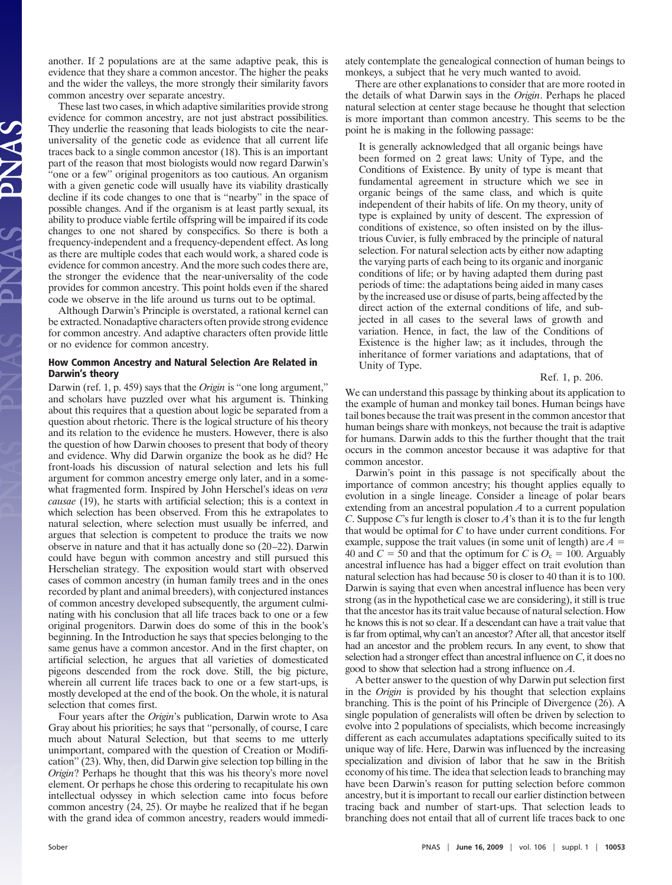another. If 2 populations are at the same adaptive peak, this is evidence that they share a common ancestor. The higher the peaks and the wider the valleys, the more strongly their similarity favors common ancestry over separate ancestry.

These last two cases, in which adaptive similarities provide strong evidence for common ancestry, are not just abstract possibilities. They underlie the reasoning that leads biologists to cite the nearuniversality of the genetic code as evidence that all current life traces back to a single common ancestor (18). This is an important part of the reason that most biologists would now regard Darwin's ''one or a few'' original progenitors as too cautious. An organism with a given genetic code will usually have its viability drastically decline if its code changes to one that is ''nearby'' in the space of possible changes. And if the organism is at least partly sexual, its ability to produce viable fertile offspring will be impaired if its code changes to one not shared by conspecifics. So there is both a frequency-independent and a frequency-dependent effect. As long as there are multiple codes that each would work, a shared code is evidence for common ancestry. And the more such codes there are, the stronger the evidence that the near-universality of the code provides for common ancestry. This point holds even if the shared code we observe in the life around us turns out to be optimal.

Although Darwin's Principle is overstated, a rational kernel can be extracted. Nonadaptive characters often provide strong evidence for common ancestry. And adaptive characters often provide little or no evidence for common ancestry.

# **How Common Ancestry and Natural Selection Are Related in Darwin's theory**

Darwin (ref. 1, p. 459) says that the *Origin* is ''one long argument,'' and scholars have puzzled over what his argument is. Thinking about this requires that a question about logic be separated from a question about rhetoric. There is the logical structure of his theory and its relation to the evidence he musters. However, there is also the question of how Darwin chooses to present that body of theory and evidence. Why did Darwin organize the book as he did? He front-loads his discussion of natural selection and lets his full argument for common ancestry emerge only later, and in a somewhat fragmented form. Inspired by John Herschel's ideas on *vera causae* (19), he starts with artificial selection; this is a context in which selection has been observed. From this he extrapolates to natural selection, where selection must usually be inferred, and argues that selection is competent to produce the traits we now observe in nature and that it has actually done so (20–22). Darwin could have begun with common ancestry and still pursued this Herschelian strategy. The exposition would start with observed cases of common ancestry (in human family trees and in the ones recorded by plant and animal breeders), with conjectured instances of common ancestry developed subsequently, the argument culminating with his conclusion that all life traces back to one or a few original progenitors. Darwin does do some of this in the book's beginning. In the Introduction he says that species belonging to the same genus have a common ancestor. And in the first chapter, on artificial selection, he argues that all varieties of domesticated pigeons descended from the rock dove. Still, the big picture, wherein all current life traces back to one or a few start-ups, is mostly developed at the end of the book. On the whole, it is natural selection that comes first.

Four years after the *Origin*'s publication, Darwin wrote to Asa Gray about his priorities; he says that ''personally, of course, I care much about Natural Selection, but that seems to me utterly unimportant, compared with the question of Creation or Modification'' (23). Why, then, did Darwin give selection top billing in the *Origin*? Perhaps he thought that this was his theory's more novel element. Or perhaps he chose this ordering to recapitulate his own intellectual odyssey in which selection came into focus before common ancestry (24, 25). Or maybe he realized that if he began with the grand idea of common ancestry, readers would immediately contemplate the genealogical connection of human beings to monkeys, a subject that he very much wanted to avoid.

There are other explanations to consider that are more rooted in the details of what Darwin says in the *Origin*. Perhaps he placed natural selection at center stage because he thought that selection is more important than common ancestry. This seems to be the point he is making in the following passage:

It is generally acknowledged that all organic beings have been formed on 2 great laws: Unity of Type, and the Conditions of Existence. By unity of type is meant that fundamental agreement in structure which we see in organic beings of the same class, and which is quite independent of their habits of life. On my theory, unity of type is explained by unity of descent. The expression of conditions of existence, so often insisted on by the illustrious Cuvier, is fully embraced by the principle of natural selection. For natural selection acts by either now adapting the varying parts of each being to its organic and inorganic conditions of life; or by having adapted them during past periods of time: the adaptations being aided in many cases by the increased use or disuse of parts, being affected by the direct action of the external conditions of life, and subjected in all cases to the several laws of growth and variation. Hence, in fact, the law of the Conditions of Existence is the higher law; as it includes, through the inheritance of former variations and adaptations, that of Unity of Type.

## Ref. 1, p. 206.

We can understand this passage by thinking about its application to the example of human and monkey tail bones. Human beings have tail bones because the trait was present in the common ancestor that human beings share with monkeys, not because the trait is adaptive for humans. Darwin adds to this the further thought that the trait occurs in the common ancestor because it was adaptive for that common ancestor.

Darwin's point in this passage is not specifically about the importance of common ancestry; his thought applies equally to evolution in a single lineage. Consider a lineage of polar bears extending from an ancestral population *A* to a current population *C*. Suppose *C*'s fur length is closer to *A*'s than it is to the fur length that would be optimal for *C* to have under current conditions. For example, suppose the trait values (in some unit of length) are  $A =$ 40 and  $C = 50$  and that the optimum for *C* is  $O_c = 100$ . Arguably ancestral influence has had a bigger effect on trait evolution than natural selection has had because 50 is closer to 40 than it is to 100. Darwin is saying that even when ancestral influence has been very strong (as in the hypothetical case we are considering), it still is true that the ancestor has its trait value because of natural selection. How he knows this is not so clear. If a descendant can have a trait value that is far from optimal, why can't an ancestor? After all, that ancestor itself had an ancestor and the problem recurs. In any event, to show that selection had a stronger effect than ancestral influence on *C*, it does no good to show that selection had a strong influence on *A*.

A better answer to the question of why Darwin put selection first in the *Origin* is provided by his thought that selection explains branching. This is the point of his Principle of Divergence (26). A single population of generalists will often be driven by selection to evolve into 2 populations of specialists, which become increasingly different as each accumulates adaptations specifically suited to its unique way of life. Here, Darwin was influenced by the increasing specialization and division of labor that he saw in the British economy of his time. The idea that selection leads to branching may have been Darwin's reason for putting selection before common ancestry, but it is important to recall our earlier distinction between tracing back and number of start-ups. That selection leads to branching does not entail that all of current life traces back to one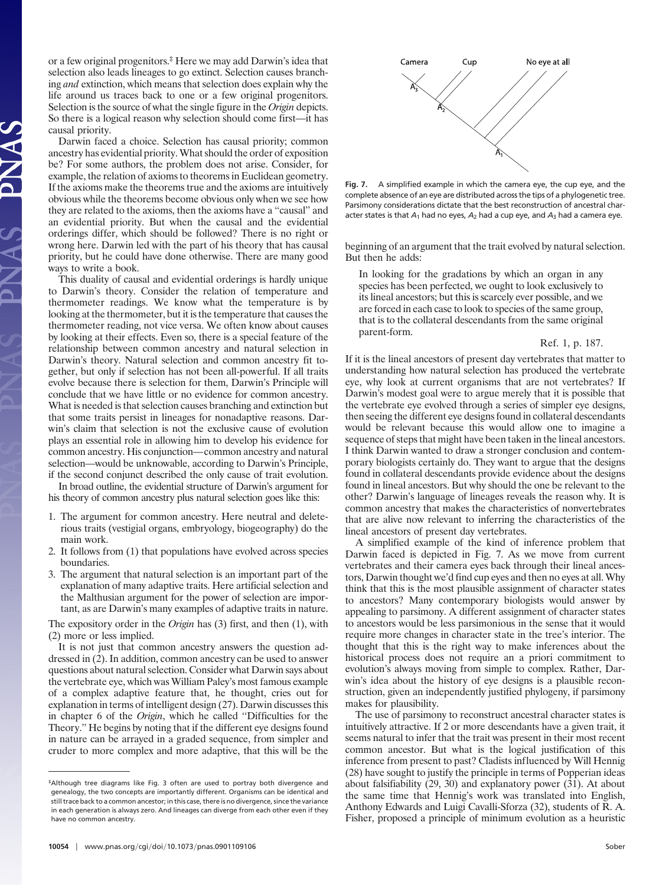or a few original progenitors.‡ Here we may add Darwin's idea that selection also leads lineages to go extinct. Selection causes branching *and* extinction, which means that selection does explain why the life around us traces back to one or a few original progenitors. Selection is the source of what the single figure in the *Origin* depicts. So there is a logical reason why selection should come first—it has causal priority.

Darwin faced a choice. Selection has causal priority; common ancestry has evidential priority.What should the order of exposition be? For some authors, the problem does not arise. Consider, for example, the relation of axioms to theorems in Euclidean geometry. If the axioms make the theorems true and the axioms are intuitively obvious while the theorems become obvious only when we see how they are related to the axioms, then the axioms have a ''causal'' and an evidential priority. But when the causal and the evidential orderings differ, which should be followed? There is no right or wrong here. Darwin led with the part of his theory that has causal priority, but he could have done otherwise. There are many good ways to write a book.

This duality of causal and evidential orderings is hardly unique to Darwin's theory. Consider the relation of temperature and thermometer readings. We know what the temperature is by looking at the thermometer, but it is the temperature that causes the thermometer reading, not vice versa. We often know about causes by looking at their effects. Even so, there is a special feature of the relationship between common ancestry and natural selection in Darwin's theory. Natural selection and common ancestry fit together, but only if selection has not been all-powerful. If all traits evolve because there is selection for them, Darwin's Principle will conclude that we have little or no evidence for common ancestry. What is needed is that selection causes branching and extinction but that some traits persist in lineages for nonadaptive reasons. Darwin's claim that selection is not the exclusive cause of evolution plays an essential role in allowing him to develop his evidence for common ancestry. His conjunction—common ancestry and natural selection—would be unknowable, according to Darwin's Principle, if the second conjunct described the only cause of trait evolution.

In broad outline, the evidential structure of Darwin's argument for his theory of common ancestry plus natural selection goes like this:

- 1. The argument for common ancestry. Here neutral and deleterious traits (vestigial organs, embryology, biogeography) do the main work.
- 2. It follows from (1) that populations have evolved across species boundaries.
- 3. The argument that natural selection is an important part of the explanation of many adaptive traits. Here artificial selection and the Malthusian argument for the power of selection are important, as are Darwin's many examples of adaptive traits in nature.

The expository order in the *Origin* has (3) first, and then (1), with (2) more or less implied.

It is not just that common ancestry answers the question addressed in (2). In addition, common ancestry can be used to answer questions about natural selection. Consider what Darwin says about the vertebrate eye, which was William Paley's most famous example of a complex adaptive feature that, he thought, cries out for explanation in terms of intelligent design (27). Darwin discusses this in chapter 6 of the *Origin*, which he called ''Difficulties for the Theory.'' He begins by noting that if the different eye designs found in nature can be arrayed in a graded sequence, from simpler and cruder to more complex and more adaptive, that this will be the



**Fig. 7.** A simplified example in which the camera eye, the cup eye, and the complete absence of an eye are distributed across the tips of a phylogenetic tree. Parsimony considerations dictate that the best reconstruction of ancestral character states is that *A*<sup>1</sup> had no eyes, *A*<sup>2</sup> had a cup eye, and *A*<sup>3</sup> had a camera eye.

beginning of an argument that the trait evolved by natural selection. But then he adds:

In looking for the gradations by which an organ in any species has been perfected, we ought to look exclusively to its lineal ancestors; but this is scarcely ever possible, and we are forced in each case to look to species of the same group, that is to the collateral descendants from the same original parent-form.

#### Ref. 1, p. 187.

If it is the lineal ancestors of present day vertebrates that matter to understanding how natural selection has produced the vertebrate eye, why look at current organisms that are not vertebrates? If Darwin's modest goal were to argue merely that it is possible that the vertebrate eye evolved through a series of simpler eye designs, then seeing the different eye designs found in collateral descendants would be relevant because this would allow one to imagine a sequence of steps that might have been taken in the lineal ancestors. I think Darwin wanted to draw a stronger conclusion and contemporary biologists certainly do. They want to argue that the designs found in collateral descendants provide evidence about the designs found in lineal ancestors. But why should the one be relevant to the other? Darwin's language of lineages reveals the reason why. It is common ancestry that makes the characteristics of nonvertebrates that are alive now relevant to inferring the characteristics of the lineal ancestors of present day vertebrates.

A simplified example of the kind of inference problem that Darwin faced is depicted in Fig. 7. As we move from current vertebrates and their camera eyes back through their lineal ancestors, Darwin thought we'd find cup eyes and then no eyes at all. Why think that this is the most plausible assignment of character states to ancestors? Many contemporary biologists would answer by appealing to parsimony. A different assignment of character states to ancestors would be less parsimonious in the sense that it would require more changes in character state in the tree's interior. The thought that this is the right way to make inferences about the historical process does not require an a priori commitment to evolution's always moving from simple to complex. Rather, Darwin's idea about the history of eye designs is a plausible reconstruction, given an independently justified phylogeny, if parsimony makes for plausibility.

The use of parsimony to reconstruct ancestral character states is intuitively attractive. If 2 or more descendants have a given trait, it seems natural to infer that the trait was present in their most recent common ancestor. But what is the logical justification of this inference from present to past? Cladists influenced by Will Hennig (28) have sought to justify the principle in terms of Popperian ideas about falsifiability (29, 30) and explanatory power (31). At about the same time that Hennig's work was translated into English, Anthony Edwards and Luigi Cavalli-Sforza (32), students of R. A. Fisher, proposed a principle of minimum evolution as a heuristic

<sup>‡</sup>Although tree diagrams like Fig. 3 often are used to portray both divergence and genealogy, the two concepts are importantly different. Organisms can be identical and still trace back to a common ancestor; in this case, there is no divergence, since the variance in each generation is always zero. And lineages can diverge from each other even if they have no common ancestry.